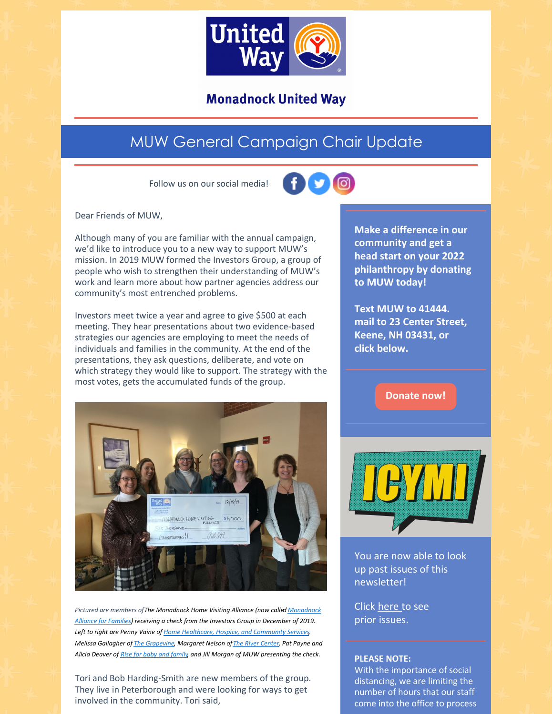

## **Monadnock United Way**

## MUW General Campaign Chair Update

Follow us on our social media!



Dear Friends of MUW,

Although many of you are familiar with the annual campaign, we'd like to introduce you to a new way to support MUW's mission. In 2019 MUW formed the Investors Group, a group of people who wish to strengthen their understanding of MUW's work and learn more about how partner agencies address our community's most entrenched problems.

Investors meet twice a year and agree to give \$500 at each meeting. They hear presentations about two evidence-based strategies our agencies are employing to meet the needs of individuals and families in the community. At the end of the presentations, they ask questions, deliberate, and vote on which strategy they would like to support. The strategy with the most votes, gets the accumulated funds of the group.



*Pictured are members ofThe [Monadnock](https://www.muw.org/impact/monadnock-alliance-families-0) Home Visiting Alliance (now called Monadnock Alliance for Families) receiving a check from the Investors Group in December of 2019. Left to right are Penny Vaine of Home [Healthcare,](https://www.hcsservices.org/) Hospice, and Community Services, Melissa Gallagher of The [Grapevine](https://grapevinenh.org/), Margaret Nelson ofThe River [Center](https://www.rivercenter.us/), Pat Payne and Alicia Deaver of Rise for baby and [family](https://www.riseforbabyandfamily.org/), and Jill Morgan of MUW presenting the check.*

Tori and Bob Harding-Smith are new members of the group. They live in Peterborough and were looking for ways to get involved in the community. Tori said,

**Make a difference in our community and get a head start on your 2022 philanthropy by donating to MUW today!**

**Text MUW to 41444. mail to 23 Center Street, Keene, NH 03431, or click below.**

**[Donate](https://app.mobilecause.com/form/ZRKvlQ?reset=1&%253Bid=1&vid=oi7n5) now!**



You are now able to look up past issues of this newsletter!

Click [here](https://www.muw.org/2021-newsletters) to see prior issues.

## **PLEASE NOTE:**

With the importance of social distancing, we are limiting the number of hours that our staff come into the office to process